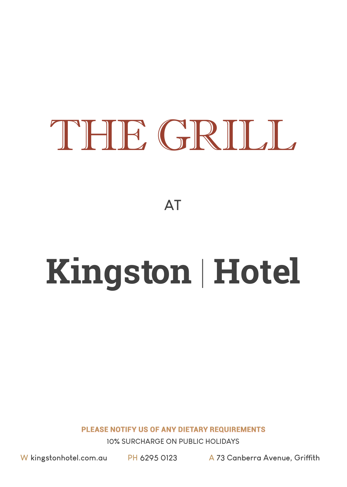# THE GRILL

**AT**

# **Kingston** | **Hotel**

**PLEASE NOTIFY US OF ANY DIETARY REQUIREMENTS** 

**10% SURCHARGE ON PUBLIC HOLIDAYS**

**W kingstonhotel.com.au PH 6295 0123 A 73 Canberra Avenue, Griffith**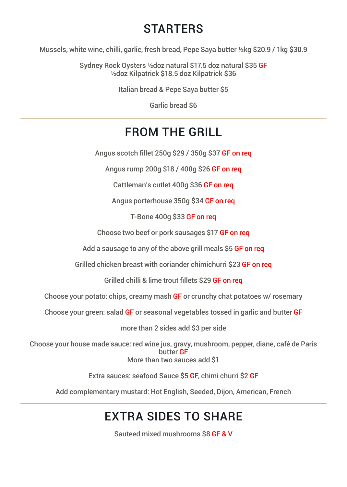#### **STARTERS**

Mussels, white wine, chilli, garlic, fresh bread, Pepe Saya butter ½kg \$20.9 / 1kg \$30.9

Sydney Rock Oysters ½doz natural \$17.5 doz natural \$35 GF ½doz Kilpatrick \$18.5 doz Kilpatrick \$36

Italian bread & Pepe Saya butter \$5

Garlic bread \$6

#### FROM THE GRILL

Angus scotch fillet 250g \$29 / 350g \$37 GF on req

Angus rump 200g \$18 / 400g \$26 GF on req

Cattleman's cutlet 400g \$36 GF on req

Angus porterhouse 350g \$34 GF on req

T-Bone 400g \$33 GF on req

Choose two beef or pork sausages \$17 GF on req

Add a sausage to any of the above grill meals \$5 GF on reg

Grilled chicken breast with coriander chimichurri \$23 GF on req

Grilled chilli & lime trout fillets \$29 GF on req

Choose your potato: chips, creamy mash GF or crunchy chat potatoes w/ rosemary

Choose your green: salad GF or seasonal vegetables tossed in garlic and butter GF

more than 2 sides add \$3 per side

Choose your house made sauce: red wine jus, gravy, mushroom, pepper, diane, café de Paris butter GF More than two sauces add \$1

Extra sauces: seafood Sauce \$5 GF, chimi churri \$2 GF

Add complementary mustard: Hot English, Seeded, Dijon, American, French

## EXTRA SIDES TO SHARE

Sauteed mixed mushrooms \$8 GF & V